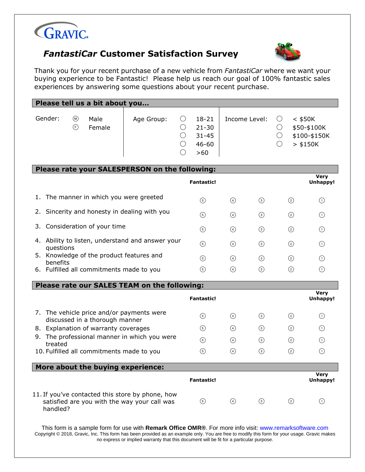

## *FantastiCar* **Customer Satisfaction Survey**



Thank you for your recent purchase of a new vehicle from *FantastiCar* where we want your buying experience to be Fantastic! Please help us reach our goal of 100% fantastic sales experiences by answering some questions about your recent purchase.

| Please tell us a bit about you                                                                                        |            |                      |                                                         |                   |               |                                    |                                                        |                                |
|-----------------------------------------------------------------------------------------------------------------------|------------|----------------------|---------------------------------------------------------|-------------------|---------------|------------------------------------|--------------------------------------------------------|--------------------------------|
| Gender:<br>$^{\circledR}$<br>Male<br>$\bigodot$<br>Female                                                             | Age Group: | ( )<br>◯<br>()<br>() | $18 - 21$<br>$21 - 30$<br>$31 - 45$<br>$46 - 60$<br>>60 | Income Level:     |               | $\bigcirc$<br>$\bigcirc$<br>О<br>∩ | $<$ \$50K<br>\$50-\$100K<br>\$100-\$150K<br>$>$ \$150K |                                |
| Please rate your SALESPERSON on the following:                                                                        |            |                      |                                                         |                   |               |                                    |                                                        |                                |
|                                                                                                                       |            |                      | <b>Fantastic!</b>                                       |                   |               |                                    |                                                        | <b>Very</b><br><b>Unhappy!</b> |
| The manner in which you were greeted<br>1.                                                                            |            |                      | $\circled{5}$                                           | $\odot$           | $\odot$       |                                    | $\circled{2}$                                          | $\odot$                        |
| Sincerity and honesty in dealing with you<br>2.                                                                       |            |                      | $\circled{5}$                                           | $\odot$           | $\circled{3}$ |                                    | $\circled{2}$                                          | $\circ$                        |
| Consideration of your time<br>3.                                                                                      |            |                      | $\odot$                                                 | $\odot$           | $\circled{3}$ |                                    | $\circled{2}$                                          | $\bigcirc$                     |
| 4. Ability to listen, understand and answer your<br>questions<br>5. Knowledge of the product features and<br>benefits |            |                      | $\circled{5}$                                           | $\odot$           | $\odot$       |                                    | $\circled{2}$                                          | $\odot$                        |
|                                                                                                                       |            |                      | $\circled{5}$                                           | $\circled{4}$     | $\odot$       |                                    | ②                                                      | $\odot$                        |
| 6. Fulfilled all commitments made to you                                                                              |            |                      | $\circled{5}$                                           | $\bigcirc$        | $\odot$       |                                    | ☺                                                      | $\odot$                        |
| Please rate our SALES TEAM on the following:                                                                          |            |                      |                                                         |                   |               |                                    |                                                        |                                |
|                                                                                                                       |            |                      | <b>Fantastic!</b>                                       |                   |               |                                    |                                                        | <b>Very</b><br><b>Unhappy!</b> |
| 7. The vehicle price and/or payments were<br>discussed in a thorough manner                                           |            |                      | $\circled{5}$                                           | $\circled{4}$     | $\odot$       |                                    | $\circled{2}$                                          | $\odot$                        |
| 8. Explanation of warranty coverages                                                                                  |            |                      | $\odot$                                                 | $\odot$           | $\circled{3}$ |                                    | $\circled{2}$                                          | $\odot$                        |
| 9. The professional manner in which you were                                                                          |            |                      | $\circled{5}$                                           | $\left( 4\right)$ | $\odot$       |                                    | $\circled{2}$                                          | ⊕                              |
| treated<br>10. Fulfilled all commitments made to you                                                                  |            |                      | $\odot$                                                 | $\left(4\right)$  | $\odot$       |                                    | $\circledcirc$                                         | $\odot$                        |
| More about the buying experience:                                                                                     |            |                      |                                                         |                   |               |                                    |                                                        |                                |
|                                                                                                                       |            |                      | <b>Fantastic!</b>                                       |                   |               |                                    |                                                        | <b>Very</b><br><b>Unhappy!</b> |
| 11. If you've contacted this store by phone, how<br>satisfied are you with the way your call was<br>handled?          |            |                      | $\odot$                                                 | $\odot$           | $\odot$       |                                    | $\odot$                                                | $\odot$                        |

This form is a sample form for use with **Remark Office OMR®**. For more info visit: www.remarksoftware.com Copyright © 2018, Gravic, Inc. This form has been provided as an example only. You are free to modify this form for your usage. Gravic makes no express or implied warranty that this document will be fit for a particular purpose.